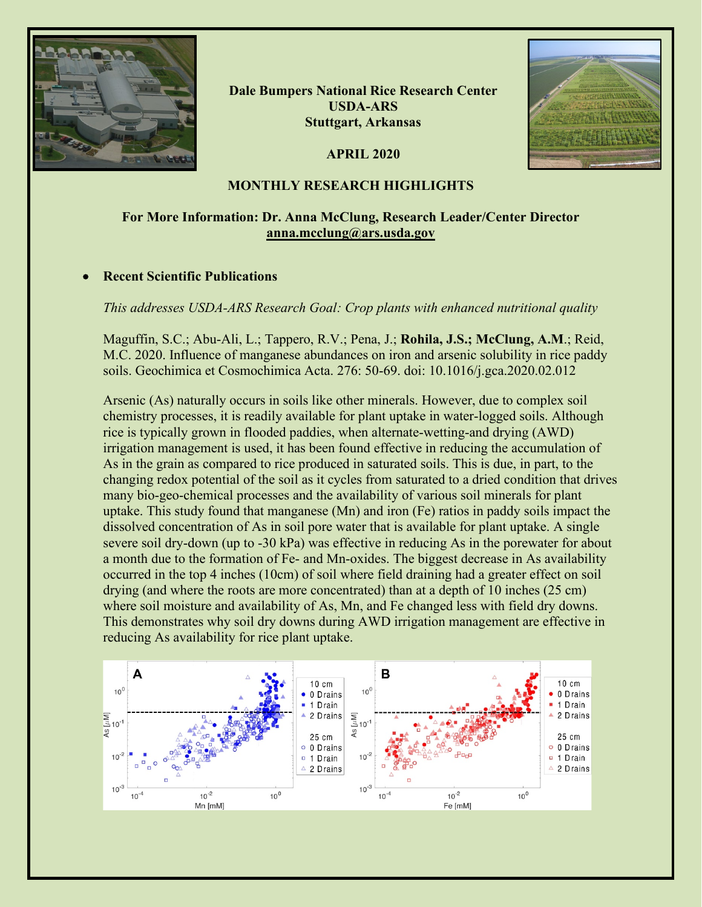

**Dale Bumpers National Rice Research Center USDA-ARS Stuttgart, Arkansas**

**APRIL 2020**



#### **MONTHLY RESEARCH HIGHLIGHTS**

# **For More Information: Dr. Anna McClung, Research Leader/Center Director [anna.mcclung@ars.usda.gov](mailto:anna.mcclung@ars.usda.gov)**

#### • **Recent Scientific Publications**

*This addresses USDA-ARS Research Goal: Crop plants with enhanced nutritional quality*

Maguffin, S.C.; Abu-Ali, L.; Tappero, R.V.; Pena, J.; **Rohila, J.S.; McClung, A.M**.; Reid, M.C. 2020. Influence of manganese abundances on iron and arsenic solubility in rice paddy soils. Geochimica et Cosmochimica Acta. 276: 50-69. doi: 10.1016/j.gca.2020.02.012

Arsenic (As) naturally occurs in soils like other minerals. However, due to complex soil chemistry processes, it is readily available for plant uptake in water-logged soils. Although rice is typically grown in flooded paddies, when alternate-wetting-and drying (AWD) irrigation management is used, it has been found effective in reducing the accumulation of As in the grain as compared to rice produced in saturated soils. This is due, in part, to the changing redox potential of the soil as it cycles from saturated to a dried condition that drives many bio-geo-chemical processes and the availability of various soil minerals for plant uptake. This study found that manganese (Mn) and iron (Fe) ratios in paddy soils impact the dissolved concentration of As in soil pore water that is available for plant uptake. A single severe soil dry-down (up to -30 kPa) was effective in reducing As in the porewater for about a month due to the formation of Fe- and Mn-oxides. The biggest decrease in As availability occurred in the top 4 inches (10cm) of soil where field draining had a greater effect on soil drying (and where the roots are more concentrated) than at a depth of 10 inches (25 cm) where soil moisture and availability of As, Mn, and Fe changed less with field dry downs. This demonstrates why soil dry downs during AWD irrigation management are effective in reducing As availability for rice plant uptake.

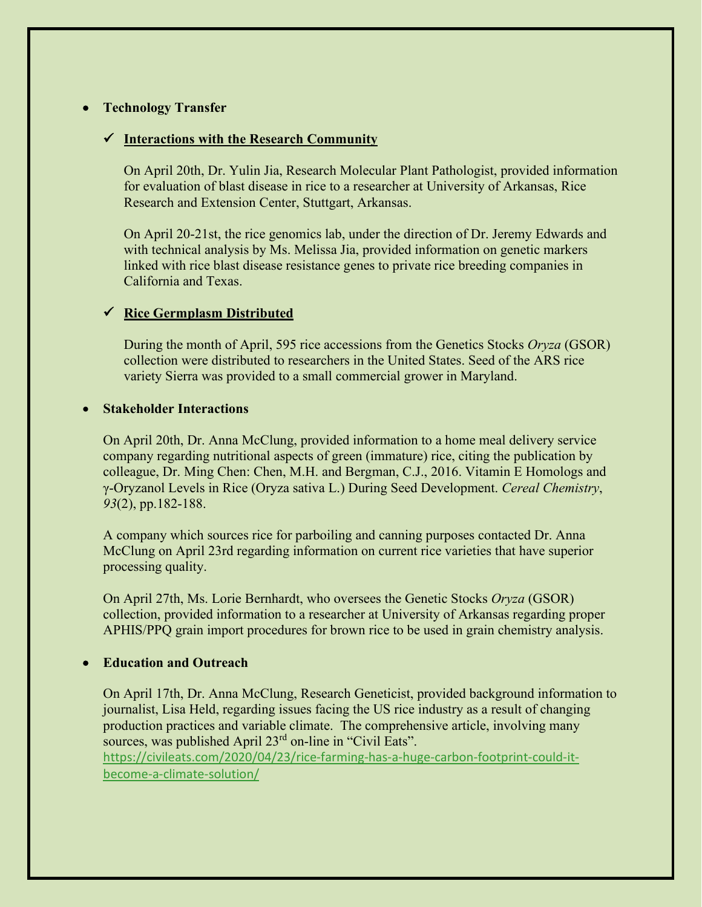## • **Technology Transfer**

#### **Interactions with the Research Community**

On April 20th, Dr. Yulin Jia, Research Molecular Plant Pathologist, provided information for evaluation of blast disease in rice to a researcher at University of Arkansas, Rice Research and Extension Center, Stuttgart, Arkansas.

On April 20-21st, the rice genomics lab, under the direction of Dr. Jeremy Edwards and with technical analysis by Ms. Melissa Jia, provided information on genetic markers linked with rice blast disease resistance genes to private rice breeding companies in California and Texas.

## **Rice Germplasm Distributed**

During the month of April, 595 rice accessions from the Genetics Stocks *Oryza* (GSOR) collection were distributed to researchers in the United States. Seed of the ARS rice variety Sierra was provided to a small commercial grower in Maryland.

#### • **Stakeholder Interactions**

On April 20th, Dr. Anna McClung, provided information to a home meal delivery service company regarding nutritional aspects of green (immature) rice, citing the publication by colleague, Dr. Ming Chen: Chen, M.H. and Bergman, C.J., 2016. Vitamin E Homologs and γ‐Oryzanol Levels in Rice (Oryza sativa L.) During Seed Development. *Cereal Chemistry*, *93*(2), pp.182-188.

A company which sources rice for parboiling and canning purposes contacted Dr. Anna McClung on April 23rd regarding information on current rice varieties that have superior processing quality.

On April 27th, Ms. Lorie Bernhardt, who oversees the Genetic Stocks *Oryza* (GSOR) collection, provided information to a researcher at University of Arkansas regarding proper APHIS/PPQ grain import procedures for brown rice to be used in grain chemistry analysis.

#### • **Education and Outreach**

On April 17th, Dr. Anna McClung, Research Geneticist, provided background information to journalist, Lisa Held, regarding issues facing the US rice industry as a result of changing production practices and variable climate. The comprehensive article, involving many sources, was published April 23<sup>rd</sup> on-line in "Civil Eats". [https://civileats.com/2020/04/23/rice-farming-has-a-huge-carbon-footprint-could-it-](https://civileats.com/2020/04/23/rice-farming-has-a-huge-carbon-footprint-could-it-become-a-climate-solution/)

[become-a-climate-solution/](https://civileats.com/2020/04/23/rice-farming-has-a-huge-carbon-footprint-could-it-become-a-climate-solution/)